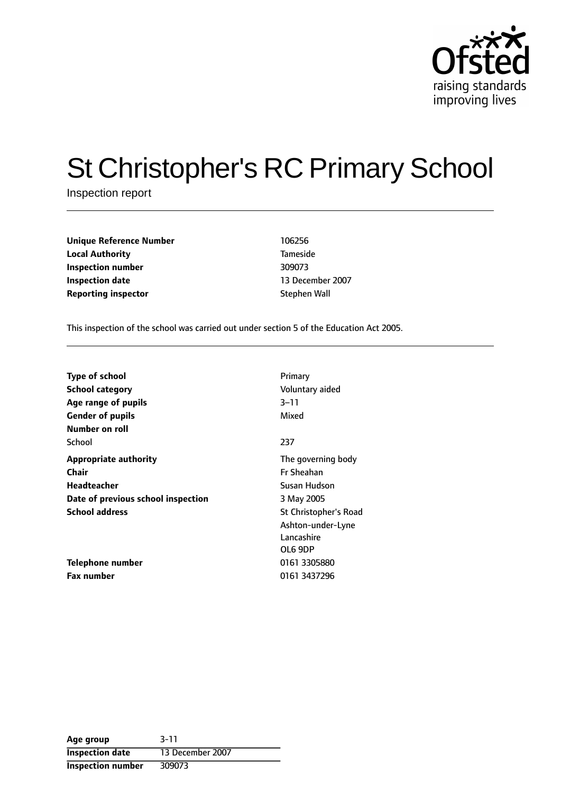

# St Christopher's RC Primary School

Inspection report

| <b>Unique Reference Number</b> | 106256          |
|--------------------------------|-----------------|
| <b>Local Authority</b>         | <b>Tameside</b> |
| Inspection number              | 309073          |
| <b>Inspection date</b>         | 13 December     |
| <b>Reporting inspector</b>     | Stephen Wall    |

**Local Authority** Tameside **Inspection date** 13 December 2007

This inspection of the school was carried out under section 5 of the Education Act 2005.

| <b>Type of school</b>              | Primary                      |
|------------------------------------|------------------------------|
| <b>School category</b>             | Voluntary aided              |
| Age range of pupils                | 3–11                         |
| <b>Gender of pupils</b>            | Mixed                        |
| Number on roll                     |                              |
| School                             | 237                          |
| <b>Appropriate authority</b>       | The governing body           |
| <b>Chair</b>                       | <b>Fr Sheahan</b>            |
| Headteacher                        | Susan Hudson                 |
| Date of previous school inspection | 3 May 2005                   |
| <b>School address</b>              | <b>St Christopher's Road</b> |
|                                    | Ashton-under-Lyne            |
|                                    | Lancashire                   |
|                                    | OL6 9DP                      |
| Telephone number                   | 0161 3305880                 |
| Fax number                         | 0161 3437296                 |

| Age group                | $3 - 11$         |
|--------------------------|------------------|
| <b>Inspection date</b>   | 13 December 2007 |
| <b>Inspection number</b> | 309073           |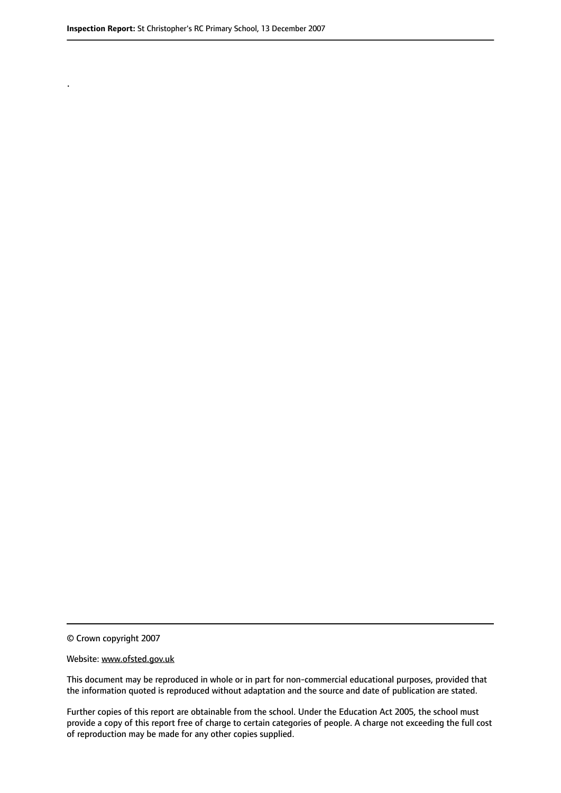.

© Crown copyright 2007

#### Website: www.ofsted.gov.uk

This document may be reproduced in whole or in part for non-commercial educational purposes, provided that the information quoted is reproduced without adaptation and the source and date of publication are stated.

Further copies of this report are obtainable from the school. Under the Education Act 2005, the school must provide a copy of this report free of charge to certain categories of people. A charge not exceeding the full cost of reproduction may be made for any other copies supplied.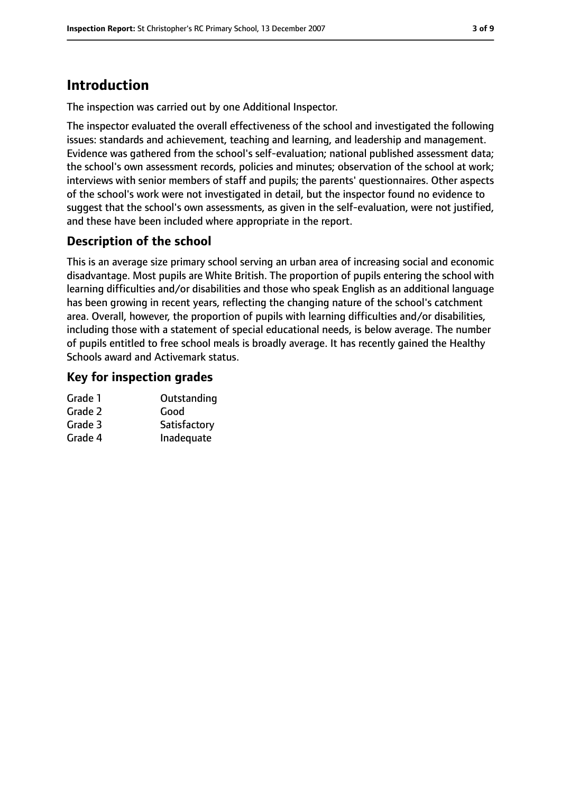# **Introduction**

The inspection was carried out by one Additional Inspector.

The inspector evaluated the overall effectiveness of the school and investigated the following issues: standards and achievement, teaching and learning, and leadership and management. Evidence was gathered from the school's self-evaluation; national published assessment data; the school's own assessment records, policies and minutes; observation of the school at work; interviews with senior members of staff and pupils; the parents' questionnaires. Other aspects of the school's work were not investigated in detail, but the inspector found no evidence to suggest that the school's own assessments, as given in the self-evaluation, were not justified, and these have been included where appropriate in the report.

## **Description of the school**

This is an average size primary school serving an urban area of increasing social and economic disadvantage. Most pupils are White British. The proportion of pupils entering the school with learning difficulties and/or disabilities and those who speak English as an additional language has been growing in recent years, reflecting the changing nature of the school's catchment area. Overall, however, the proportion of pupils with learning difficulties and/or disabilities, including those with a statement of special educational needs, is below average. The number of pupils entitled to free school meals is broadly average. It has recently gained the Healthy Schools award and Activemark status.

#### **Key for inspection grades**

| Outstanding  |
|--------------|
| Good         |
| Satisfactory |
| Inadequate   |
|              |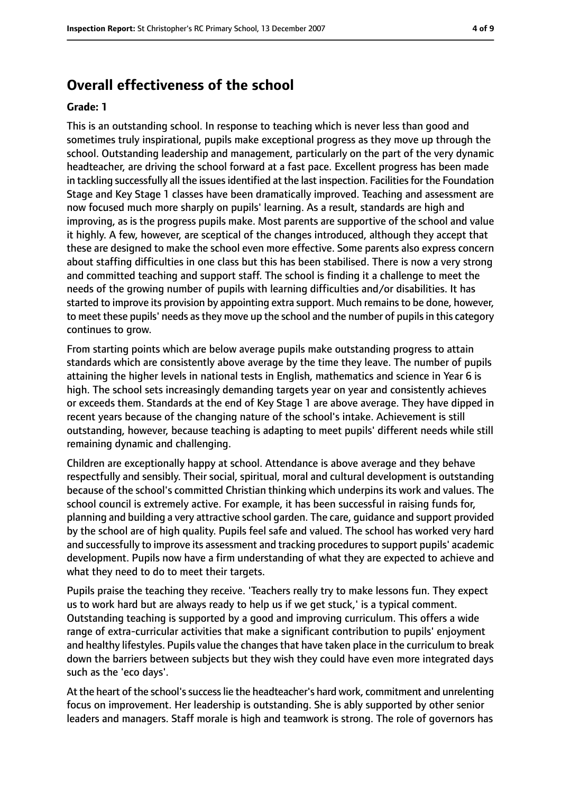## **Overall effectiveness of the school**

#### **Grade: 1**

This is an outstanding school. In response to teaching which is never less than good and sometimes truly inspirational, pupils make exceptional progress as they move up through the school. Outstanding leadership and management, particularly on the part of the very dynamic headteacher, are driving the school forward at a fast pace. Excellent progress has been made in tackling successfully all the issues identified at the last inspection. Facilities for the Foundation Stage and Key Stage 1 classes have been dramatically improved. Teaching and assessment are now focused much more sharply on pupils' learning. As a result, standards are high and improving, as is the progress pupils make. Most parents are supportive of the school and value it highly. A few, however, are sceptical of the changes introduced, although they accept that these are designed to make the school even more effective. Some parents also express concern about staffing difficulties in one class but this has been stabilised. There is now a very strong and committed teaching and support staff. The school is finding it a challenge to meet the needs of the growing number of pupils with learning difficulties and/or disabilities. It has started to improve its provision by appointing extra support. Much remainsto be done, however, to meet these pupils' needs as they move up the school and the number of pupils in this category continues to grow.

From starting points which are below average pupils make outstanding progress to attain standards which are consistently above average by the time they leave. The number of pupils attaining the higher levels in national tests in English, mathematics and science in Year 6 is high. The school sets increasingly demanding targets year on year and consistently achieves or exceeds them. Standards at the end of Key Stage 1 are above average. They have dipped in recent years because of the changing nature of the school's intake. Achievement is still outstanding, however, because teaching is adapting to meet pupils' different needs while still remaining dynamic and challenging.

Children are exceptionally happy at school. Attendance is above average and they behave respectfully and sensibly. Their social, spiritual, moral and cultural development is outstanding because of the school's committed Christian thinking which underpins its work and values. The school council is extremely active. For example, it has been successful in raising funds for, planning and building a very attractive school garden. The care, guidance and support provided by the school are of high quality. Pupils feel safe and valued. The school has worked very hard and successfully to improve its assessment and tracking procedures to support pupils' academic development. Pupils now have a firm understanding of what they are expected to achieve and what they need to do to meet their targets.

Pupils praise the teaching they receive. 'Teachers really try to make lessons fun. They expect us to work hard but are always ready to help us if we get stuck,' is a typical comment. Outstanding teaching is supported by a good and improving curriculum. This offers a wide range of extra-curricular activities that make a significant contribution to pupils' enjoyment and healthy lifestyles. Pupils value the changes that have taken place in the curriculum to break down the barriers between subjects but they wish they could have even more integrated days such as the 'eco days'.

At the heart of the school's success lie the headteacher's hard work, commitment and unrelenting focus on improvement. Her leadership is outstanding. She is ably supported by other senior leaders and managers. Staff morale is high and teamwork is strong. The role of governors has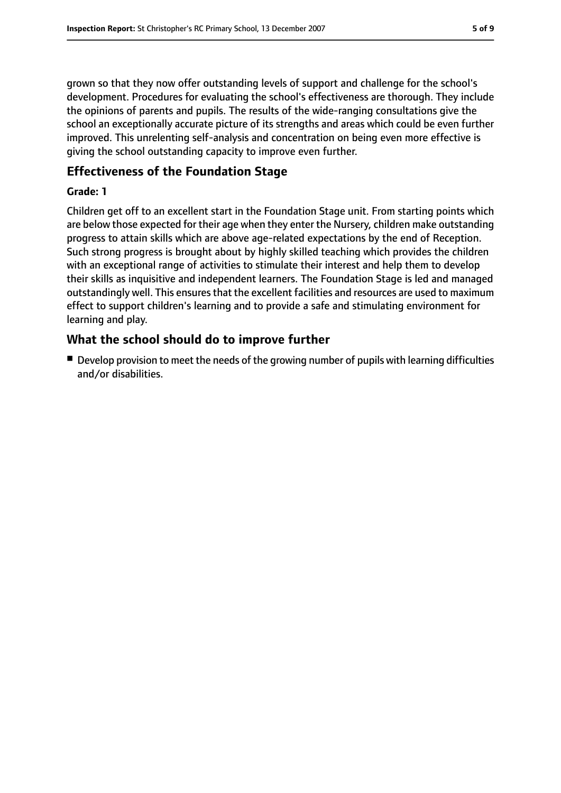grown so that they now offer outstanding levels of support and challenge for the school's development. Procedures for evaluating the school's effectiveness are thorough. They include the opinions of parents and pupils. The results of the wide-ranging consultations give the school an exceptionally accurate picture of its strengths and areas which could be even further improved. This unrelenting self-analysis and concentration on being even more effective is giving the school outstanding capacity to improve even further.

#### **Effectiveness of the Foundation Stage**

#### **Grade: 1**

Children get off to an excellent start in the Foundation Stage unit. From starting points which are below those expected for their age when they enter the Nursery, children make outstanding progress to attain skills which are above age-related expectations by the end of Reception. Such strong progress is brought about by highly skilled teaching which provides the children with an exceptional range of activities to stimulate their interest and help them to develop their skills as inquisitive and independent learners. The Foundation Stage is led and managed outstandingly well. This ensures that the excellent facilities and resources are used to maximum effect to support children's learning and to provide a safe and stimulating environment for learning and play.

#### **What the school should do to improve further**

■ Develop provision to meet the needs of the growing number of pupils with learning difficulties and/or disabilities.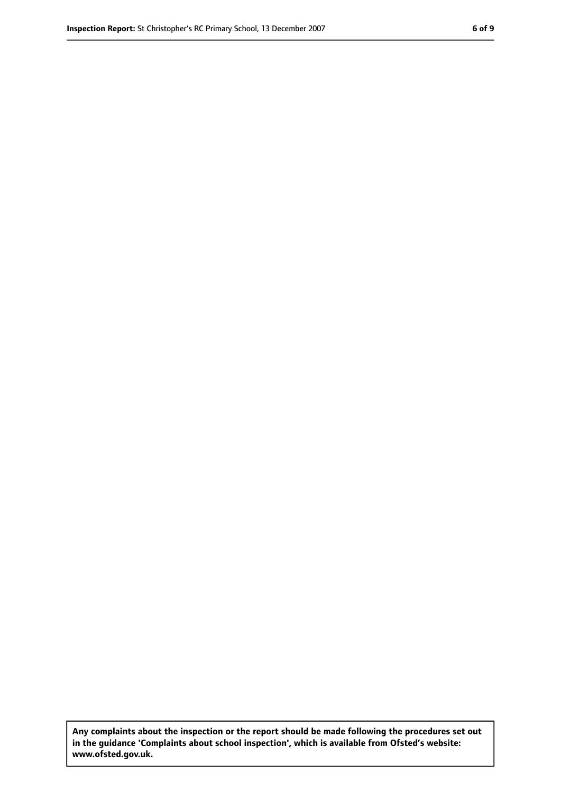**Any complaints about the inspection or the report should be made following the procedures set out in the guidance 'Complaints about school inspection', which is available from Ofsted's website: www.ofsted.gov.uk.**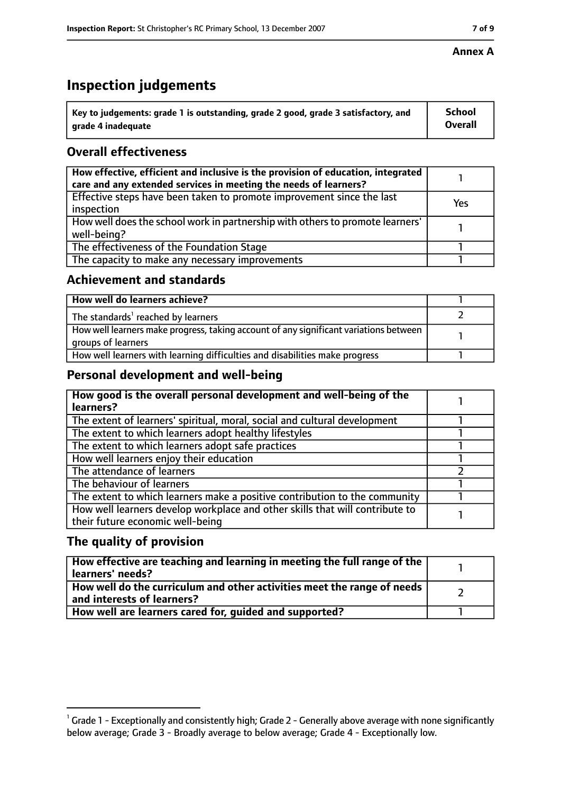## **Inspection judgements**

| $^{\backprime}$ Key to judgements: grade 1 is outstanding, grade 2 good, grade 3 satisfactory, and | <b>School</b>  |
|----------------------------------------------------------------------------------------------------|----------------|
| arade 4 inadequate                                                                                 | <b>Overall</b> |

## **Overall effectiveness**

| How effective, efficient and inclusive is the provision of education, integrated<br>care and any extended services in meeting the needs of learners? |     |
|------------------------------------------------------------------------------------------------------------------------------------------------------|-----|
| Effective steps have been taken to promote improvement since the last<br>inspection                                                                  | Yes |
| How well does the school work in partnership with others to promote learners'<br>well-being?                                                         |     |
| The effectiveness of the Foundation Stage                                                                                                            |     |
| The capacity to make any necessary improvements                                                                                                      |     |

#### **Achievement and standards**

| How well do learners achieve?                                                                               |  |
|-------------------------------------------------------------------------------------------------------------|--|
| The standards <sup>1</sup> reached by learners                                                              |  |
| How well learners make progress, taking account of any significant variations between<br>groups of learners |  |
| How well learners with learning difficulties and disabilities make progress                                 |  |

#### **Personal development and well-being**

| How good is the overall personal development and well-being of the<br>learners?                                  |  |
|------------------------------------------------------------------------------------------------------------------|--|
| The extent of learners' spiritual, moral, social and cultural development                                        |  |
| The extent to which learners adopt healthy lifestyles                                                            |  |
| The extent to which learners adopt safe practices                                                                |  |
| How well learners enjoy their education                                                                          |  |
| The attendance of learners                                                                                       |  |
| The behaviour of learners                                                                                        |  |
| The extent to which learners make a positive contribution to the community                                       |  |
| How well learners develop workplace and other skills that will contribute to<br>their future economic well-being |  |

#### **The quality of provision**

| How effective are teaching and learning in meeting the full range of the<br>learners' needs?          |  |
|-------------------------------------------------------------------------------------------------------|--|
| How well do the curriculum and other activities meet the range of needs<br>and interests of learners? |  |
| How well are learners cared for, quided and supported?                                                |  |

#### **Annex A**

 $^1$  Grade 1 - Exceptionally and consistently high; Grade 2 - Generally above average with none significantly below average; Grade 3 - Broadly average to below average; Grade 4 - Exceptionally low.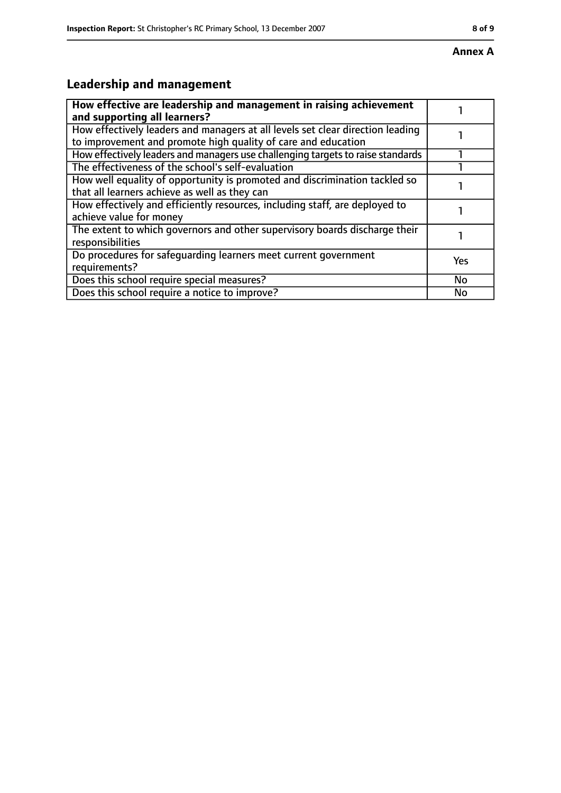## **Leadership and management**

| How effective are leadership and management in raising achievement<br>and supporting all learners?                                              |           |
|-------------------------------------------------------------------------------------------------------------------------------------------------|-----------|
| How effectively leaders and managers at all levels set clear direction leading<br>to improvement and promote high quality of care and education |           |
| How effectively leaders and managers use challenging targets to raise standards                                                                 |           |
| The effectiveness of the school's self-evaluation                                                                                               |           |
| How well equality of opportunity is promoted and discrimination tackled so<br>that all learners achieve as well as they can                     |           |
| How effectively and efficiently resources, including staff, are deployed to<br>achieve value for money                                          |           |
| The extent to which governors and other supervisory boards discharge their<br>responsibilities                                                  |           |
| Do procedures for safequarding learners meet current government<br>requirements?                                                                | Yes       |
| Does this school require special measures?                                                                                                      | <b>No</b> |
| Does this school require a notice to improve?                                                                                                   | No        |